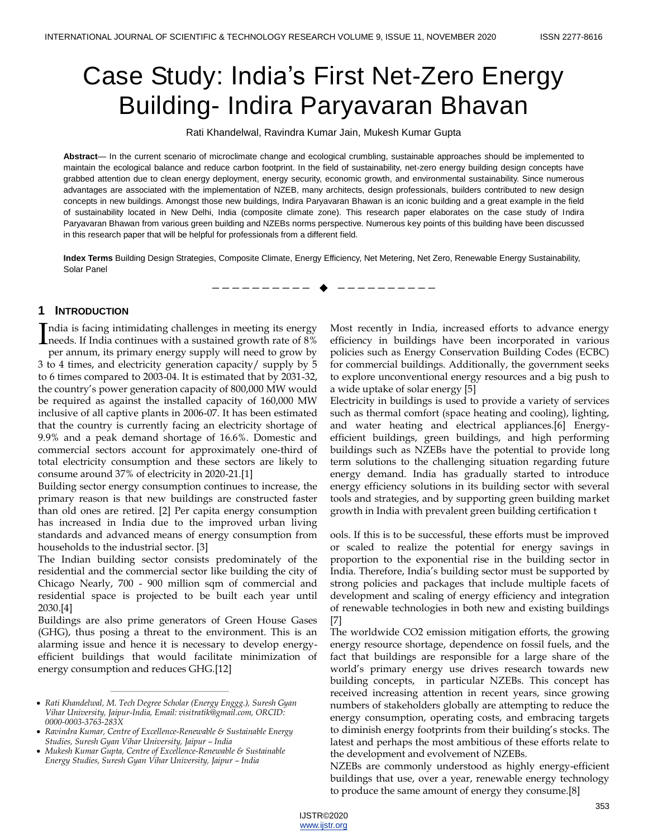# Case Study: India's First Net-Zero Energy Building- Indira Paryavaran Bhavan

Rati Khandelwal, Ravindra Kumar Jain, Mukesh Kumar Gupta

**Abstract**— In the current scenario of microclimate change and ecological crumbling, sustainable approaches should be implemented to maintain the ecological balance and reduce carbon footprint. In the field of sustainability, net-zero energy building design concepts have grabbed attention due to clean energy deployment, energy security, economic growth, and environmental sustainability. Since numerous advantages are associated with the implementation of NZEB, many architects, design professionals, builders contributed to new design concepts in new buildings. Amongst those new buildings, Indira Paryavaran Bhawan is an iconic building and a great example in the field of sustainability located in New Delhi, India (composite climate zone). This research paper elaborates on the case study of Indira Paryavaran Bhawan from various green building and NZEBs norms perspective. Numerous key points of this building have been discussed in this research paper that will be helpful for professionals from a different field.

**Index Terms** Building Design Strategies, Composite Climate, Energy Efficiency, Net Metering, Net Zero, Renewable Energy Sustainability, Solar Panel

—————————— ——————————

## **1 INTRODUCTION**

ndia is facing intimidating challenges in meeting its energy India is facing intimidating challenges in meeting its energy<br>meeds. If India continues with a sustained growth rate of 8%

per annum, its primary energy supply will need to grow by 3 to 4 times, and electricity generation capacity/ supply by 5 to 6 times compared to 2003-04. It is estimated that by 2031-32, the country's power generation capacity of 800,000 MW would be required as against the installed capacity of 160,000 MW inclusive of all captive plants in 2006-07. It has been estimated that the country is currently facing an electricity shortage of 9.9% and a peak demand shortage of 16.6%. Domestic and commercial sectors account for approximately one-third of total electricity consumption and these sectors are likely to consume around 37% of electricity in 2020-21.[1]

Building sector energy consumption continues to increase, the primary reason is that new buildings are constructed faster than old ones are retired. [2] Per capita energy consumption has increased in India due to the improved urban living standards and advanced means of energy consumption from households to the industrial sector. [3]

The Indian building sector consists predominately of the residential and the commercial sector like building the city of Chicago Nearly, 700 - 900 million sqm of commercial and residential space is projected to be built each year until 2030.[4]

Buildings are also prime generators of Green House Gases (GHG), thus posing a threat to the environment. This is an alarming issue and hence it is necessary to develop energyefficient buildings that would facilitate minimization of energy consumption and reduces GHG.[12]

————————————————

Most recently in India, increased efforts to advance energy efficiency in buildings have been incorporated in various policies such as Energy Conservation Building Codes (ECBC) for commercial buildings. Additionally, the government seeks to explore unconventional energy resources and a big push to a wide uptake of solar energy [5]

Electricity in buildings is used to provide a variety of services such as thermal comfort (space heating and cooling), lighting, and water heating and electrical appliances.[6] Energyefficient buildings, green buildings, and high performing buildings such as NZEBs have the potential to provide long term solutions to the challenging situation regarding future energy demand. India has gradually started to introduce energy efficiency solutions in its building sector with several tools and strategies, and by supporting green building market growth in India with prevalent green building certification t

ools. If this is to be successful, these efforts must be improved or scaled to realize the potential for energy savings in proportion to the exponential rise in the building sector in India. Therefore, India's building sector must be supported by strong policies and packages that include multiple facets of development and scaling of energy efficiency and integration of renewable technologies in both new and existing buildings [7]

The worldwide CO2 emission mitigation efforts, the growing energy resource shortage, dependence on fossil fuels, and the fact that buildings are responsible for a large share of the world's primary energy use drives research towards new building concepts, in particular NZEBs. This concept has received increasing attention in recent years, since growing numbers of stakeholders globally are attempting to reduce the energy consumption, operating costs, and embracing targets to diminish energy footprints from their building's stocks. The latest and perhaps the most ambitious of these efforts relate to the development and evolvement of NZEBs.

NZEBs are commonly understood as highly energy-efficient buildings that use, over a year, renewable energy technology to produce the same amount of energy they consume.[8]

*Rati Khandelwal, M. Tech Degree Scholar (Energy Enggg.), Suresh Gyan Vihar University, Jaipur-India, Email: visitratik@gmail.com, ORCID: 0000-0003-3763-283X*

*Ravindra Kumar, Centre of Excellence-Renewable & Sustainable Energy Studies, Suresh Gyan Vihar University, Jaipur – India*

*Mukesh Kumar Gupta, Centre of Excellence-Renewable & Sustainable Energy Studies, Suresh Gyan Vihar University, Jaipur – India*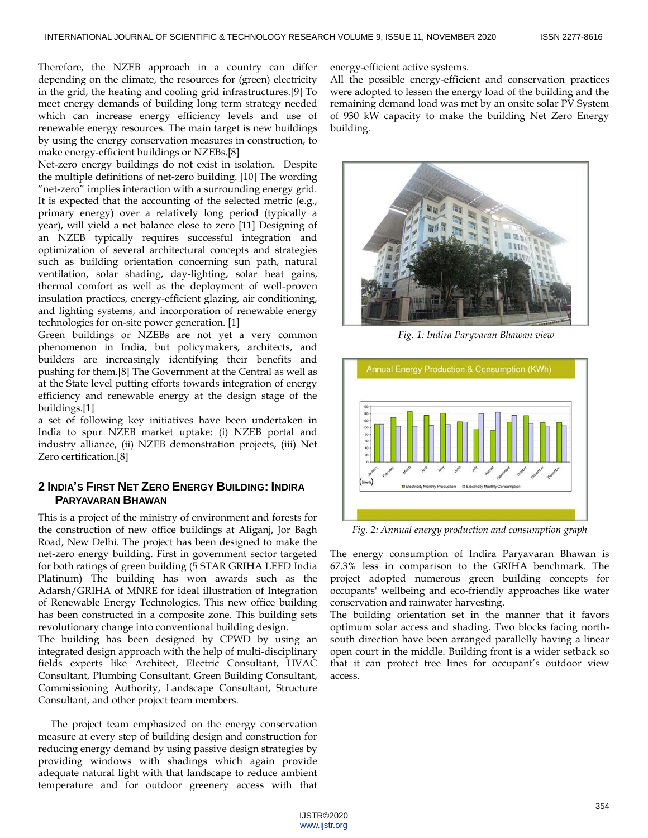Therefore, the NZEB approach in a country can differ depending on the climate, the resources for (green) electricity in the grid, the heating and cooling grid infrastructures.[9] To meet energy demands of building long term strategy needed which can increase energy efficiency levels and use of renewable energy resources. The main target is new buildings by using the energy conservation measures in construction, to make energy-efficient buildings or NZEBs.[8]

Net-zero energy buildings do not exist in isolation. Despite the multiple definitions of net-zero building. [10] The wording "net-zero" implies interaction with a surrounding energy grid. It is expected that the accounting of the selected metric (e.g., primary energy) over a relatively long period (typically a year), will yield a net balance close to zero [11] Designing of an NZEB typically requires successful integration and optimization of several architectural concepts and strategies such as building orientation concerning sun path, natural ventilation, solar shading, day-lighting, solar heat gains, thermal comfort as well as the deployment of well-proven insulation practices, energy-efficient glazing, air conditioning, and lighting systems, and incorporation of renewable energy technologies for on-site power generation. [1]

Green buildings or NZEBs are not yet a very common phenomenon in India, but policymakers, architects, and builders are increasingly identifying their benefits and pushing for them.[8] The Government at the Central as well as at the State level putting efforts towards integration of energy efficiency and renewable energy at the design stage of the buildings.[1]

a set of following key initiatives have been undertaken in India to spur NZEB market uptake: (i) NZEB portal and industry alliance, (ii) NZEB demonstration projects, (iii) Net Zero certification.[8]

# **2 INDIA'S FIRST NET ZERO ENERGY BUILDING: INDIRA PARYAVARAN BHAWAN**

This is a project of the ministry of environment and forests for the construction of new office buildings at Aliganj, Jor Bagh Road, New Delhi. The project has been designed to make the net-zero energy building. First in government sector targeted for both ratings of green building (5 STAR GRIHA LEED India Platinum) The building has won awards such as the Adarsh/GRIHA of MNRE for ideal illustration of Integration of Renewable Energy Technologies. This new office building has been constructed in a composite zone. This building sets revolutionary change into conventional building design.

The building has been designed by CPWD by using an integrated design approach with the help of multi-disciplinary fields experts like Architect, Electric Consultant, HVAC Consultant, Plumbing Consultant, Green Building Consultant, Commissioning Authority, Landscape Consultant, Structure Consultant, and other project team members.

The project team emphasized on the energy conservation measure at every step of building design and construction for reducing energy demand by using passive design strategies by providing windows with shadings which again provide adequate natural light with that landscape to reduce ambient temperature and for outdoor greenery access with that energy-efficient active systems.

All the possible energy-efficient and conservation practices were adopted to lessen the energy load of the building and the remaining demand load was met by an onsite solar PV System of 930 kW capacity to make the building Net Zero Energy building.



*Fig. 1: Indira Paryvaran Bhawan view*



*Fig. 2: Annual energy production and consumption graph*

The energy consumption of Indira Paryavaran Bhawan is 67.3% less in comparison to the GRIHA benchmark. The project adopted numerous green building concepts for occupants' wellbeing and eco-friendly approaches like water conservation and rainwater harvesting.

The building orientation set in the manner that it favors optimum solar access and shading. Two blocks facing northsouth direction have been arranged parallelly having a linear open court in the middle. Building front is a wider setback so that it can protect tree lines for occupant's outdoor view access.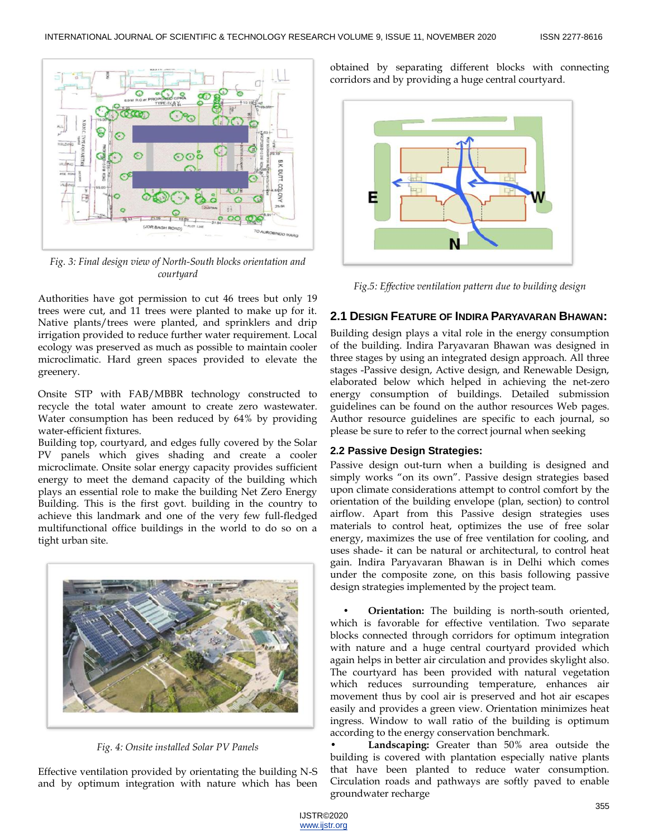

*Fig. 3: Final design view of North-South blocks orientation and courtyard*

Authorities have got permission to cut 46 trees but only 19 trees were cut, and 11 trees were planted to make up for it. Native plants/trees were planted, and sprinklers and drip irrigation provided to reduce further water requirement. Local ecology was preserved as much as possible to maintain cooler microclimatic. Hard green spaces provided to elevate the greenery.

Onsite STP with FAB/MBBR technology constructed to recycle the total water amount to create zero wastewater. Water consumption has been reduced by 64% by providing water-efficient fixtures.

Building top, courtyard, and edges fully covered by the Solar PV panels which gives shading and create a cooler microclimate. Onsite solar energy capacity provides sufficient energy to meet the demand capacity of the building which plays an essential role to make the building Net Zero Energy Building. This is the first govt. building in the country to achieve this landmark and one of the very few full-fledged multifunctional office buildings in the world to do so on a tight urban site.



*Fig. 4: Onsite installed Solar PV Panels*

Effective ventilation provided by orientating the building N-S and by optimum integration with nature which has been obtained by separating different blocks with connecting corridors and by providing a huge central courtyard.



*Fig.5: Effective ventilation pattern due to building design*

# **2.1 DESIGN FEATURE OF INDIRA PARYAVARAN BHAWAN:**

Building design plays a vital role in the energy consumption of the building. Indira Paryavaran Bhawan was designed in three stages by using an integrated design approach. All three stages -Passive design, Active design, and Renewable Design, elaborated below which helped in achieving the net-zero energy consumption of buildings. Detailed submission guidelines can be found on the author resources Web pages. Author resource guidelines are specific to each journal, so please be sure to refer to the correct journal when seeking

# **2.2 Passive Design Strategies:**

Passive design out-turn when a building is designed and simply works "on its own". Passive design strategies based upon climate considerations attempt to control comfort by the orientation of the building envelope (plan, section) to control airflow. Apart from this Passive design strategies uses materials to control heat, optimizes the use of free solar energy, maximizes the use of free ventilation for cooling, and uses shade- it can be natural or architectural, to control heat gain. Indira Paryavaran Bhawan is in Delhi which comes under the composite zone, on this basis following passive design strategies implemented by the project team.

**• Orientation:** The building is north-south oriented, which is favorable for effective ventilation. Two separate blocks connected through corridors for optimum integration with nature and a huge central courtyard provided which again helps in better air circulation and provides skylight also. The courtyard has been provided with natural vegetation which reduces surrounding temperature, enhances air movement thus by cool air is preserved and hot air escapes easily and provides a green view. Orientation minimizes heat ingress. Window to wall ratio of the building is optimum according to the energy conservation benchmark.

• **Landscaping:** Greater than 50% area outside the building is covered with plantation especially native plants that have been planted to reduce water consumption. Circulation roads and pathways are softly paved to enable groundwater recharge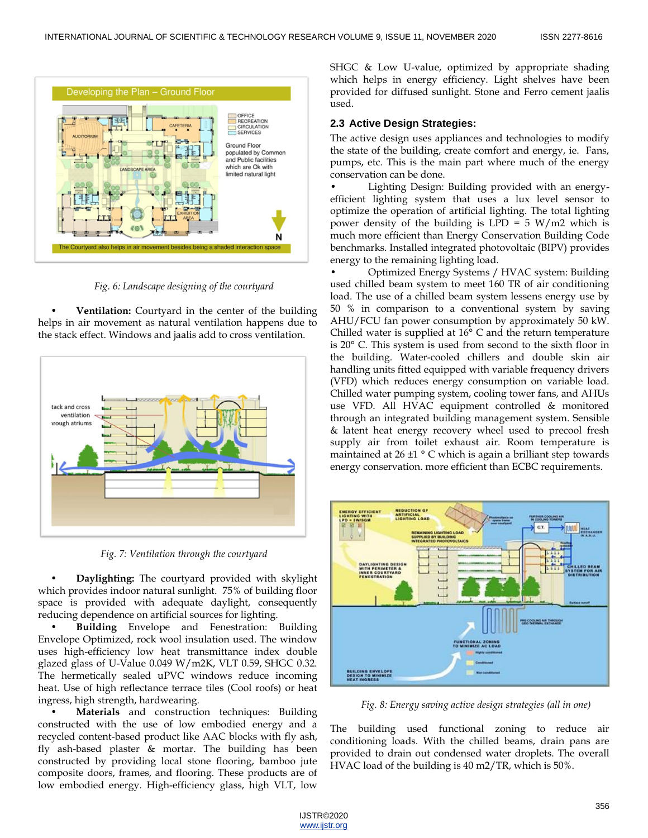

*Fig. 6: Landscape designing of the courtyard*

**Ventilation:** Courtyard in the center of the building helps in air movement as natural ventilation happens due to the stack effect. Windows and jaalis add to cross ventilation.



*Fig. 7: Ventilation through the courtyard*

• **Daylighting:** The courtyard provided with skylight which provides indoor natural sunlight. 75% of building floor space is provided with adequate daylight, consequently reducing dependence on artificial sources for lighting.

• **Building** Envelope and Fenestration: Building Envelope Optimized, rock wool insulation used. The window uses high-efficiency low heat transmittance index double glazed glass of U-Value 0.049 W/m2K, VLT 0.59, SHGC 0.32. The hermetically sealed uPVC windows reduce incoming heat. Use of high reflectance terrace tiles (Cool roofs) or heat ingress, high strength, hardwearing.

**Materials** and construction techniques: Building constructed with the use of low embodied energy and a recycled content-based product like AAC blocks with fly ash, fly ash-based plaster & mortar. The building has been constructed by providing local stone flooring, bamboo jute composite doors, frames, and flooring. These products are of low embodied energy. High-efficiency glass, high VLT, low

SHGC & Low U-value, optimized by appropriate shading which helps in energy efficiency. Light shelves have been provided for diffused sunlight. Stone and Ferro cement jaalis used.

## **2.3 Active Design Strategies:**

The active design uses appliances and technologies to modify the state of the building, create comfort and energy, ie. Fans, pumps, etc. This is the main part where much of the energy conservation can be done.

• Lighting Design: Building provided with an energyefficient lighting system that uses a lux level sensor to optimize the operation of artificial lighting. The total lighting power density of the building is  $LPD = 5 W/m2$  which is much more efficient than Energy Conservation Building Code benchmarks. Installed integrated photovoltaic (BIPV) provides energy to the remaining lighting load.

• Optimized Energy Systems / HVAC system: Building used chilled beam system to meet 160 TR of air conditioning load. The use of a chilled beam system lessens energy use by 50 % in comparison to a conventional system by saving AHU/FCU fan power consumption by approximately 50 kW. Chilled water is supplied at 16° C and the return temperature is 20° C. This system is used from second to the sixth floor in the building. Water-cooled chillers and double skin air handling units fitted equipped with variable frequency drivers (VFD) which reduces energy consumption on variable load. Chilled water pumping system, cooling tower fans, and AHUs use VFD. All HVAC equipment controlled & monitored through an integrated building management system. Sensible & latent heat energy recovery wheel used to precool fresh supply air from toilet exhaust air. Room temperature is maintained at 26 ±1 ° C which is again a brilliant step towards energy conservation. more efficient than ECBC requirements.



*Fig. 8: Energy saving active design strategies (all in one)*

The building used functional zoning to reduce air conditioning loads. With the chilled beams, drain pans are provided to drain out condensed water droplets. The overall HVAC load of the building is 40 m2/TR, which is 50%.